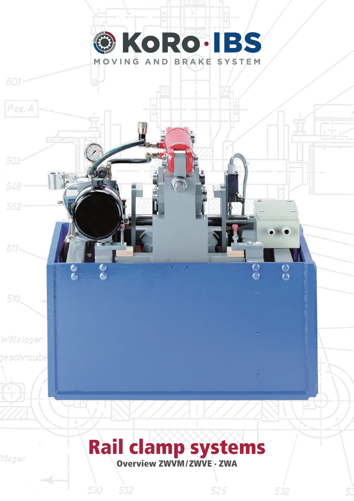